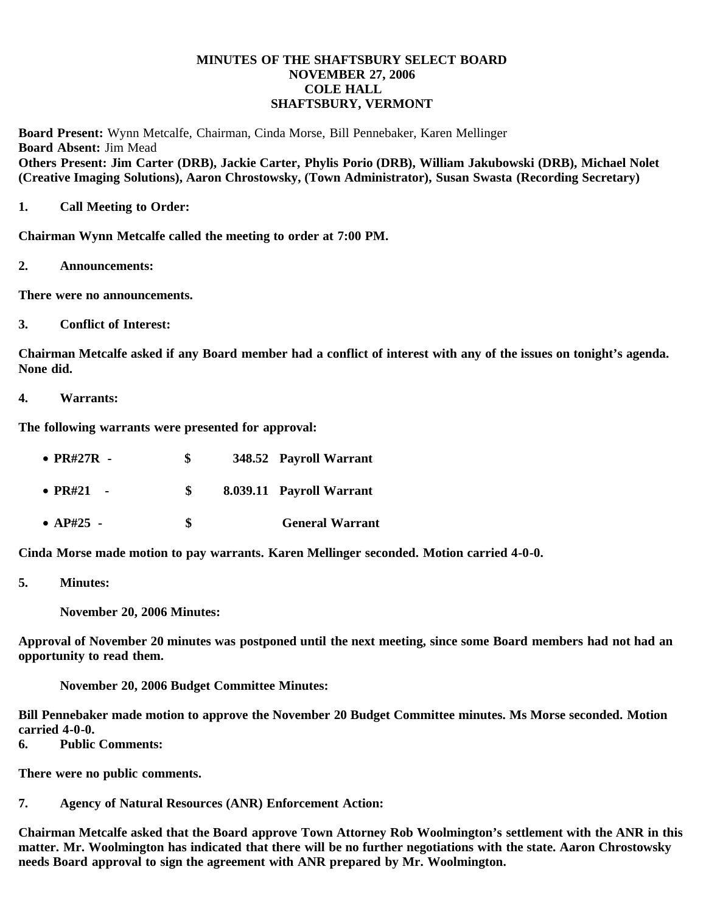# **MINUTES OF THE SHAFTSBURY SELECT BOARD NOVEMBER 27, 2006 COLE HALL SHAFTSBURY, VERMONT**

**Board Present:** Wynn Metcalfe, Chairman, Cinda Morse, Bill Pennebaker, Karen Mellinger **Board Absent:** Jim Mead **Others Present: Jim Carter (DRB), Jackie Carter, Phylis Porio (DRB), William Jakubowski (DRB), Michael Nolet (Creative Imaging Solutions), Aaron Chrostowsky, (Town Administrator), Susan Swasta (Recording Secretary)**

## **1. Call Meeting to Order:**

**Chairman Wynn Metcalfe called the meeting to order at 7:00 PM.**

**2. Announcements:**

**There were no announcements.**

**3. Conflict of Interest:**

**Chairman Metcalfe asked if any Board member had a conflict of interest with any of the issues on tonight's agenda. None did.**

**4. Warrants:**

**The following warrants were presented for approval:**

| $\bullet$ PR#27R - | SS. | 348.52 Payroll Warrant   |
|--------------------|-----|--------------------------|
| • $PR#21 -$        | SS. | 8.039.11 Payroll Warrant |
| • $AP#25$ -        | \$  | <b>General Warrant</b>   |

**Cinda Morse made motion to pay warrants. Karen Mellinger seconded. Motion carried 4-0-0.**

**5. Minutes:**

 **November 20, 2006 Minutes:**

**Approval of November 20 minutes was postponed until the next meeting, since some Board members had not had an opportunity to read them.**

 **November 20, 2006 Budget Committee Minutes:**

**Bill Pennebaker made motion to approve the November 20 Budget Committee minutes. Ms Morse seconded. Motion carried 4-0-0.**

**6. Public Comments:**

**There were no public comments.**

**7. Agency of Natural Resources (ANR) Enforcement Action:**

**Chairman Metcalfe asked that the Board approve Town Attorney Rob Woolmington's settlement with the ANR in this matter. Mr. Woolmington has indicated that there will be no further negotiations with the state. Aaron Chrostowsky needs Board approval to sign the agreement with ANR prepared by Mr. Woolmington.**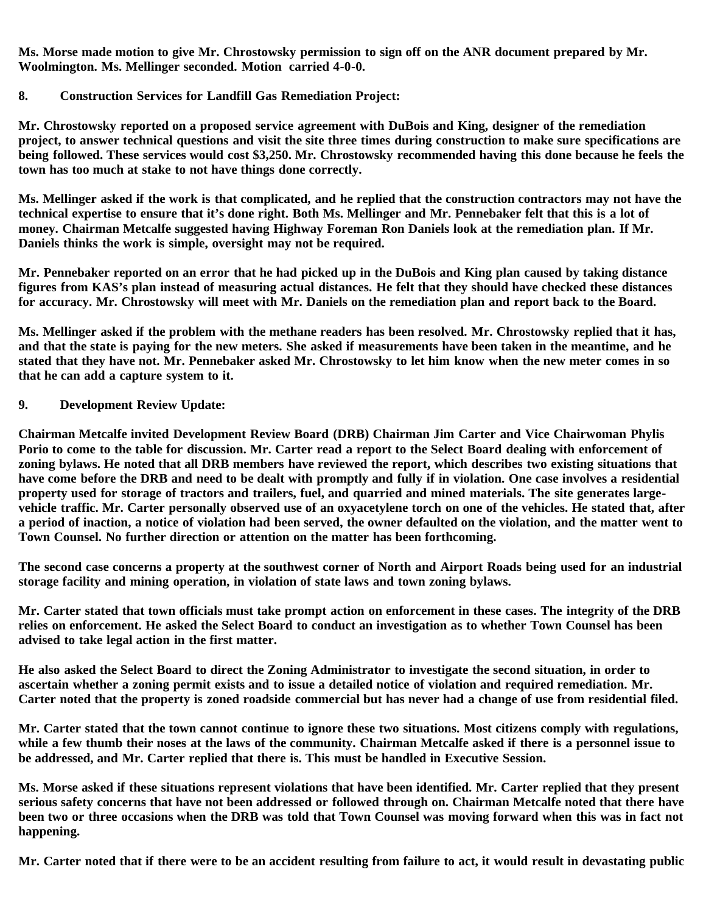**Ms. Morse made motion to give Mr. Chrostowsky permission to sign off on the ANR document prepared by Mr. Woolmington. Ms. Mellinger seconded. Motion carried 4-0-0.**

# **8. Construction Services for Landfill Gas Remediation Project:**

**Mr. Chrostowsky reported on a proposed service agreement with DuBois and King, designer of the remediation project, to answer technical questions and visit the site three times during construction to make sure specifications are being followed. These services would cost \$3,250. Mr. Chrostowsky recommended having this done because he feels the town has too much at stake to not have things done correctly.**

**Ms. Mellinger asked if the work is that complicated, and he replied that the construction contractors may not have the technical expertise to ensure that it's done right. Both Ms. Mellinger and Mr. Pennebaker felt that this is a lot of money. Chairman Metcalfe suggested having Highway Foreman Ron Daniels look at the remediation plan. If Mr. Daniels thinks the work is simple, oversight may not be required.**

**Mr. Pennebaker reported on an error that he had picked up in the DuBois and King plan caused by taking distance figures from KAS's plan instead of measuring actual distances. He felt that they should have checked these distances for accuracy. Mr. Chrostowsky will meet with Mr. Daniels on the remediation plan and report back to the Board.**

**Ms. Mellinger asked if the problem with the methane readers has been resolved. Mr. Chrostowsky replied that it has, and that the state is paying for the new meters. She asked if measurements have been taken in the meantime, and he stated that they have not. Mr. Pennebaker asked Mr. Chrostowsky to let him know when the new meter comes in so that he can add a capture system to it.**

# **9. Development Review Update:**

**Chairman Metcalfe invited Development Review Board (DRB) Chairman Jim Carter and Vice Chairwoman Phylis Porio to come to the table for discussion. Mr. Carter read a report to the Select Board dealing with enforcement of zoning bylaws. He noted that all DRB members have reviewed the report, which describes two existing situations that have come before the DRB and need to be dealt with promptly and fully if in violation. One case involves a residential property used for storage of tractors and trailers, fuel, and quarried and mined materials. The site generates largevehicle traffic. Mr. Carter personally observed use of an oxyacetylene torch on one of the vehicles. He stated that, after a period of inaction, a notice of violation had been served, the owner defaulted on the violation, and the matter went to Town Counsel. No further direction or attention on the matter has been forthcoming.**

**The second case concerns a property at the southwest corner of North and Airport Roads being used for an industrial storage facility and mining operation, in violation of state laws and town zoning bylaws.**

**Mr. Carter stated that town officials must take prompt action on enforcement in these cases. The integrity of the DRB relies on enforcement. He asked the Select Board to conduct an investigation as to whether Town Counsel has been advised to take legal action in the first matter.**

**He also asked the Select Board to direct the Zoning Administrator to investigate the second situation, in order to ascertain whether a zoning permit exists and to issue a detailed notice of violation and required remediation. Mr. Carter noted that the property is zoned roadside commercial but has never had a change of use from residential filed.**

**Mr. Carter stated that the town cannot continue to ignore these two situations. Most citizens comply with regulations, while a few thumb their noses at the laws of the community. Chairman Metcalfe asked if there is a personnel issue to be addressed, and Mr. Carter replied that there is. This must be handled in Executive Session.**

**Ms. Morse asked if these situations represent violations that have been identified. Mr. Carter replied that they present serious safety concerns that have not been addressed or followed through on. Chairman Metcalfe noted that there have been two or three occasions when the DRB was told that Town Counsel was moving forward when this was in fact not happening.**

**Mr. Carter noted that if there were to be an accident resulting from failure to act, it would result in devastating public**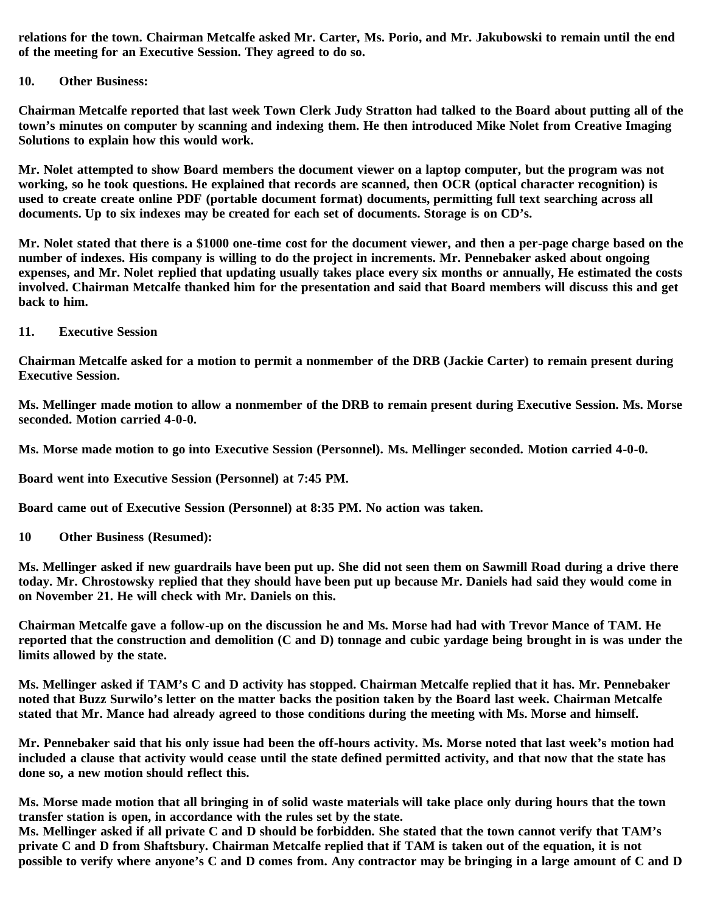**relations for the town. Chairman Metcalfe asked Mr. Carter, Ms. Porio, and Mr. Jakubowski to remain until the end of the meeting for an Executive Session. They agreed to do so.**

#### **10. Other Business:**

**Chairman Metcalfe reported that last week Town Clerk Judy Stratton had talked to the Board about putting all of the town's minutes on computer by scanning and indexing them. He then introduced Mike Nolet from Creative Imaging Solutions to explain how this would work.**

**Mr. Nolet attempted to show Board members the document viewer on a laptop computer, but the program was not working, so he took questions. He explained that records are scanned, then OCR (optical character recognition) is used to create create online PDF (portable document format) documents, permitting full text searching across all documents. Up to six indexes may be created for each set of documents. Storage is on CD's.**

**Mr. Nolet stated that there is a \$1000 one-time cost for the document viewer, and then a per-page charge based on the number of indexes. His company is willing to do the project in increments. Mr. Pennebaker asked about ongoing expenses, and Mr. Nolet replied that updating usually takes place every six months or annually, He estimated the costs involved. Chairman Metcalfe thanked him for the presentation and said that Board members will discuss this and get back to him.**

**11. Executive Session**

**Chairman Metcalfe asked for a motion to permit a nonmember of the DRB (Jackie Carter) to remain present during Executive Session.**

**Ms. Mellinger made motion to allow a nonmember of the DRB to remain present during Executive Session. Ms. Morse seconded. Motion carried 4-0-0.**

**Ms. Morse made motion to go into Executive Session (Personnel). Ms. Mellinger seconded. Motion carried 4-0-0.**

**Board went into Executive Session (Personnel) at 7:45 PM.**

**Board came out of Executive Session (Personnel) at 8:35 PM. No action was taken.**

**10 Other Business (Resumed):**

**Ms. Mellinger asked if new guardrails have been put up. She did not seen them on Sawmill Road during a drive there today. Mr. Chrostowsky replied that they should have been put up because Mr. Daniels had said they would come in on November 21. He will check with Mr. Daniels on this.**

**Chairman Metcalfe gave a follow-up on the discussion he and Ms. Morse had had with Trevor Mance of TAM. He reported that the construction and demolition (C and D) tonnage and cubic yardage being brought in is was under the limits allowed by the state.**

**Ms. Mellinger asked if TAM's C and D activity has stopped. Chairman Metcalfe replied that it has. Mr. Pennebaker noted that Buzz Surwilo's letter on the matter backs the position taken by the Board last week. Chairman Metcalfe stated that Mr. Mance had already agreed to those conditions during the meeting with Ms. Morse and himself.**

**Mr. Pennebaker said that his only issue had been the off-hours activity. Ms. Morse noted that last week's motion had included a clause that activity would cease until the state defined permitted activity, and that now that the state has done so, a new motion should reflect this.**

**Ms. Morse made motion that all bringing in of solid waste materials will take place only during hours that the town transfer station is open, in accordance with the rules set by the state.**

**Ms. Mellinger asked if all private C and D should be forbidden. She stated that the town cannot verify that TAM's private C and D from Shaftsbury. Chairman Metcalfe replied that if TAM is taken out of the equation, it is not possible to verify where anyone's C and D comes from. Any contractor may be bringing in a large amount of C and D**